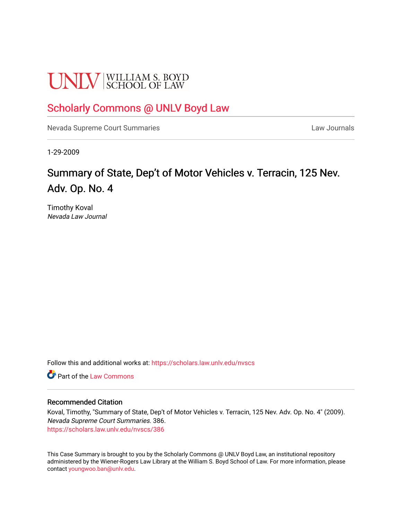# **UNLV** SCHOOL OF LAW

## [Scholarly Commons @ UNLV Boyd Law](https://scholars.law.unlv.edu/)

[Nevada Supreme Court Summaries](https://scholars.law.unlv.edu/nvscs) **Law Journals** Law Journals

1-29-2009

# Summary of State, Dep't of Motor Vehicles v. Terracin, 125 Nev. Adv. Op. No. 4

Timothy Koval Nevada Law Journal

Follow this and additional works at: [https://scholars.law.unlv.edu/nvscs](https://scholars.law.unlv.edu/nvscs?utm_source=scholars.law.unlv.edu%2Fnvscs%2F386&utm_medium=PDF&utm_campaign=PDFCoverPages)

**C** Part of the [Law Commons](http://network.bepress.com/hgg/discipline/578?utm_source=scholars.law.unlv.edu%2Fnvscs%2F386&utm_medium=PDF&utm_campaign=PDFCoverPages)

#### Recommended Citation

Koval, Timothy, "Summary of State, Dep't of Motor Vehicles v. Terracin, 125 Nev. Adv. Op. No. 4" (2009). Nevada Supreme Court Summaries. 386. [https://scholars.law.unlv.edu/nvscs/386](https://scholars.law.unlv.edu/nvscs/386?utm_source=scholars.law.unlv.edu%2Fnvscs%2F386&utm_medium=PDF&utm_campaign=PDFCoverPages)

This Case Summary is brought to you by the Scholarly Commons @ UNLV Boyd Law, an institutional repository administered by the Wiener-Rogers Law Library at the William S. Boyd School of Law. For more information, please contact [youngwoo.ban@unlv.edu](mailto:youngwoo.ban@unlv.edu).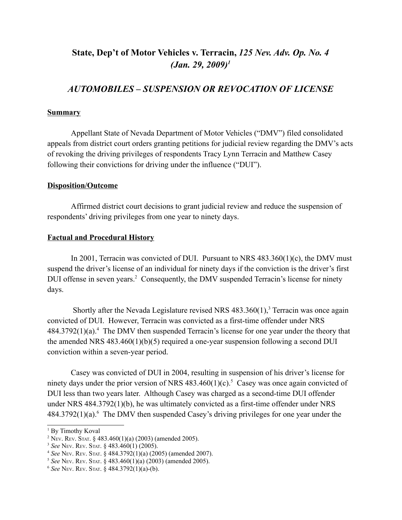## **State, Dep't of Motor Vehicles v. Terracin,** *125 Nev. Adv. Op. No. 4 (Jan. 29, 2009)1*

### *AUTOMOBILES – SUSPENSION OR REVOCATION OF LICENSE*

#### **Summary**

Appellant State of Nevada Department of Motor Vehicles ("DMV") filed consolidated appeals from district court orders granting petitions for judicial review regarding the DMV's acts of revoking the driving privileges of respondents Tracy Lynn Terracin and Matthew Casey following their convictions for driving under the influence ("DUI").

#### **Disposition/Outcome**

Affirmed district court decisions to grant judicial review and reduce the suspension of respondents' driving privileges from one year to ninety days.

#### **Factual and Procedural History**

In 2001, Terracin was convicted of DUI. Pursuant to NRS 483.360(1)(c), the DMV must suspend the driver's license of an individual for ninety days if the conviction is the driver's first DUI offense in seven years.<sup>2</sup> Consequently, the DMV suspended Terracin's license for ninety days.

Shortly after the Nevada Legislature revised NRS  $483.360(1)$ ,<sup>3</sup> Terracin was once again convicted of DUI. However, Terracin was convicted as a first-time offender under NRS  $484.3792(1)(a)$ .<sup>4</sup> The DMV then suspended Terracin's license for one year under the theory that the amended NRS  $483.460(1)(b)(5)$  required a one-year suspension following a second DUI conviction within a seven-year period.

Casey was convicted of DUI in 2004, resulting in suspension of his driver's license for ninety days under the prior version of NRS  $483.460(1)(c)$ .<sup>5</sup> Casey was once again convicted of DUI less than two years later. Although Casey was charged as a second-time DUI offender under NRS 484.3792(1)(b), he was ultimately convicted as a first-time offender under NRS  $484.3792(1)(a)$ .<sup>6</sup> The DMV then suspended Casey's driving privileges for one year under the

<sup>&</sup>lt;sup>1</sup> By Timothy Koval

<sup>&</sup>lt;sup>2</sup> NEV. REV. STAT. § 483.460(1)(a) (2003) (amended 2005).

<sup>3</sup> *See* NEV. REV. STAT. § 483.460(1) (2005).

<sup>4</sup> *See* NEV. REV. STAT. § 484.3792(1)(a) (2005) (amended 2007).

<sup>5</sup> *See* NEV. REV. STAT. § 483.460(1)(a) (2003) (amended 2005).

<sup>6</sup> *See* NEV. REV. STAT. § 484.3792(1)(a)-(b).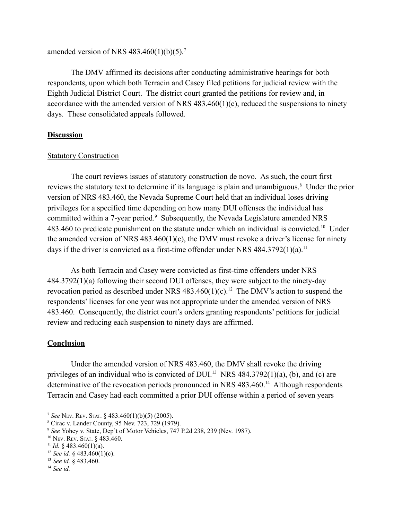amended version of NRS  $483.460(1)(b)(5)$ .<sup>7</sup>

The DMV affirmed its decisions after conducting administrative hearings for both respondents, upon which both Terracin and Casey filed petitions for judicial review with the Eighth Judicial District Court. The district court granted the petitions for review and, in accordance with the amended version of NRS  $483.460(1)(c)$ , reduced the suspensions to ninety days. These consolidated appeals followed.

#### **Discussion**

#### Statutory Construction

The court reviews issues of statutory construction de novo. As such, the court first reviews the statutory text to determine if its language is plain and unambiguous.<sup>8</sup> Under the prior version of NRS 483.460, the Nevada Supreme Court held that an individual loses driving privileges for a specified time depending on how many DUI offenses the individual has committed within a 7-year period.<sup>9</sup> Subsequently, the Nevada Legislature amended NRS 483.460 to predicate punishment on the statute under which an individual is convicted.<sup>10</sup> Under the amended version of NRS 483.460(1)(c), the DMV must revoke a driver's license for ninety days if the driver is convicted as a first-time offender under NRS  $484.3792(1)(a)$ .<sup>11</sup>

As both Terracin and Casey were convicted as first-time offenders under NRS 484.3792(1)(a) following their second DUI offenses, they were subject to the ninety-day revocation period as described under NRS  $483.460(1)(c)$ .<sup>12</sup> The DMV's action to suspend the respondents' licenses for one year was not appropriate under the amended version of NRS 483.460. Consequently, the district court's orders granting respondents' petitions for judicial review and reducing each suspension to ninety days are affirmed.

#### **Conclusion**

Under the amended version of NRS 483.460, the DMV shall revoke the driving privileges of an individual who is convicted of DUI.<sup>13</sup> NRS 484.3792(1)(a), (b), and (c) are determinative of the revocation periods pronounced in NRS 483.460.<sup>14</sup> Although respondents Terracin and Casey had each committed a prior DUI offense within a period of seven years

<sup>7</sup> *See* NEV. REV. STAT. § 483.460(1)(b)(5) (2005).

<sup>8</sup> Cirac v. Lander County, 95 Nev. 723, 729 (1979).

<sup>9</sup> *See* Yohey v. State, Dep't of Motor Vehicles, 747 P.2d 238, 239 (Nev. 1987).

<sup>10</sup> NEV. REV. STAT. § 483.460.

<sup>&</sup>lt;sup>11</sup> *Id.* § 483.460(1)(a).

<sup>&</sup>lt;sup>12</sup> *See id.* § 483.460(1)(c).

<sup>13</sup> *See id.* § 483.460.

<sup>14</sup> *See id.*